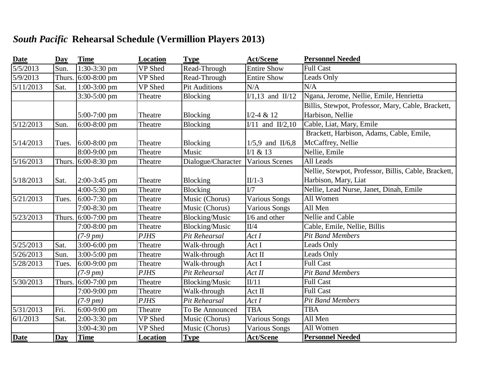## *South Pacific* **Rehearsal Schedule (Vermillion Players 2013)**

| <b>Date</b>        | Day    | <b>Time</b>           | Location    | <b>Type</b>           | <b>Act/Scene</b>                           | <b>Personnel Needed</b>                              |
|--------------------|--------|-----------------------|-------------|-----------------------|--------------------------------------------|------------------------------------------------------|
| $\sqrt{5/5/2013}$  | Sun.   | 1:30-3:30 pm          | VP Shed     | Read-Through          | <b>Entire Show</b>                         | <b>Full Cast</b>                                     |
| $\sqrt{5/9/2013}$  | Thurs. | $6:00-8:00$ pm        | VP Shed     | Read-Through          | <b>Entire Show</b>                         | Leads Only                                           |
| 5/11/2013          | Sat.   | $1:00-3:00$ pm        | VP Shed     | <b>Pit Auditions</b>  | N/A                                        | N/A                                                  |
|                    |        | 3:30-5:00 pm          | Theatre     | <b>Blocking</b>       | $\overline{I/1,13}$ and $\overline{I1/12}$ | Ngana, Jerome, Nellie, Emile, Henrietta              |
|                    |        |                       |             |                       |                                            | Billis, Stewpot, Professor, Mary, Cable, Brackett,   |
|                    |        | 5:00-7:00 pm          | Theatre     | <b>Blocking</b>       | $I/2-4 & 12$                               | Harbison, Nellie                                     |
| 5/12/2013          | Sun.   | $6:00-8:00$ pm        | Theatre     | <b>Blocking</b>       | $I/11$ and $II/2,10$                       | Cable, Liat, Mary, Emile                             |
|                    |        |                       |             |                       |                                            | Brackett, Harbison, Adams, Cable, Emile,             |
| 5/14/2013          | Tues.  | 6:00-8:00 pm          | Theatre     | <b>Blocking</b>       | $1/5,9$ and II/6,8                         | McCaffrey, Nellie                                    |
|                    |        | 8:00-9:00 pm          | Theatre     | Music                 | $I/1$ & 13                                 | Nellie, Emile                                        |
| 5/16/2013          |        | Thurs. $6:00-8:30$ pm | Theatre     | Dialogue/Character    | <b>Various Scenes</b>                      | All Leads                                            |
|                    |        |                       |             |                       |                                            | Nellie, Stewpot, Professor, Billis, Cable, Brackett, |
| 5/18/2013          | Sat.   | $2:00-3:45$ pm        | Theatre     | <b>Blocking</b>       | $II/1-3$                                   | Harbison, Mary, Liat                                 |
|                    |        | $4:00-5:30$ pm        | Theatre     | Blocking              | $\overline{V7}$                            | Nellie, Lead Nurse, Janet, Dinah, Emile              |
| 5/21/2013          | Tues.  | $6:00-7:30$ pm        | Theatre     | Music (Chorus)        | <b>Various Songs</b>                       | All Women                                            |
|                    |        | 7:00-8:30 pm          | Theatre     | Music (Chorus)        | <b>Various Songs</b>                       | All Men                                              |
| 5/23/2013          | Thurs. | 6:00-7:00 pm          | Theatre     | <b>Blocking/Music</b> | I/6 and other                              | <b>Nellie</b> and Cable                              |
|                    |        | 7:00-8:00 pm          | Theatre     | <b>Blocking/Music</b> | II/4                                       | Cable, Emile, Nellie, Billis                         |
|                    |        | $(7-9 \, pm)$         | <b>PJHS</b> | Pit Rehearsal         | ActI                                       | <b>Pit Band Members</b>                              |
| 5/25/2013          | Sat.   | 3:00-6:00 pm          | Theatre     | Walk-through          | Act I                                      | <b>Leads Only</b>                                    |
| 5/26/2013          | Sun.   | 3:00-5:00 pm          | Theatre     | Walk-through          | Act II                                     | <b>Leads Only</b>                                    |
| 5/28/2013          | Tues.  | $6:00-9:00$ pm        | Theatre     | Walk-through          | Act I                                      | <b>Full Cast</b>                                     |
|                    |        | $(7-9 \, pm)$         | <b>PJHS</b> | Pit Rehearsal         | Act II                                     | <b>Pit Band Members</b>                              |
| 5/30/2013          | Thurs. | $6:00-7:00$ pm        | Theatre     | <b>Blocking/Music</b> | II/11                                      | <b>Full Cast</b>                                     |
|                    |        | 7:00-9:00 pm          | Theatre     | Walk-through          | Act II                                     | <b>Full Cast</b>                                     |
|                    |        | $(7-9 \, pm)$         | <b>PJHS</b> | Pit Rehearsal         | ActI                                       | <b>Pit Band Members</b>                              |
| $\sqrt{5/31}/2013$ | Fri.   | $6:00-9:00$ pm        | Theatre     | To Be Announced       | <b>TBA</b>                                 | <b>TBA</b>                                           |
| 6/1/2013           | Sat.   | 2:00-3:30 pm          | VP Shed     | Music (Chorus)        | <b>Various Songs</b>                       | All Men                                              |
|                    |        | 3:00-4:30 pm          | VP Shed     | Music (Chorus)        | <b>Various Songs</b>                       | All Women                                            |
| <b>Date</b>        | Day    | <b>Time</b>           | Location    | <b>Type</b>           | <b>Act/Scene</b>                           | <b>Personnel Needed</b>                              |